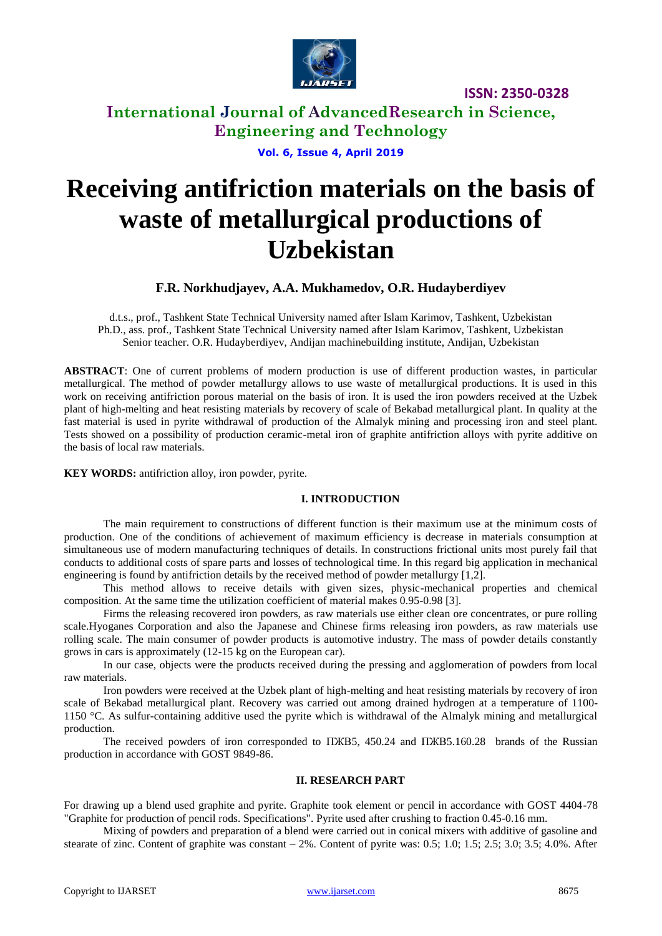

**ISSN: 2350-0328**

**International Journal of AdvancedResearch in Science, Engineering and Technology**

**Vol. 6, Issue 4, April 2019**

# **Receiving antifriction materials on the basis of waste of metallurgical productions of Uzbekistan**

#### **F.R. Norkhudjayev, A.A. Mukhamedov, O.R. Hudayberdiyev**

d.t.s., prof., Tashkent State Technical University named after Islam Karimov, Tashkent, Uzbekistan Ph.D., ass. prof., Tashkent State Technical University named after Islam Karimov, Tashkent, Uzbekistan Senior teacher. O.R. Hudayberdiyev, Andijan machinebuilding institute, Andijan, Uzbekistan

**ABSTRACT**: One of current problems of modern production is use of different production wastes, in particular metallurgical. The method of powder metallurgy allows to use waste of metallurgical productions. It is used in this work on receiving antifriction porous material on the basis of iron. It is used the iron powders received at the Uzbek plant of high-melting and heat resisting materials by recovery of scale of Bekabad metallurgical plant. In quality at the fast material is used in pyrite withdrawal of production of the Almalyk mining and processing iron and steel plant. Tests showed on a possibility of production ceramic-metal iron of graphite antifriction alloys with pyrite additive on the basis of local raw materials.

**KEY WORDS:** antifriction alloy, iron powder, pyrite.

#### **I. INTRODUCTION**

The main requirement to constructions of different function is their maximum use at the minimum costs of production. One of the conditions of achievement of maximum efficiency is decrease in materials consumption at simultaneous use of modern manufacturing techniques of details. In constructions frictional units most purely fail that conducts to additional costs of spare parts and losses of technological time. In this regard big application in mechanical engineering is found by antifriction details by the received method of powder metallurgy [1,2].

This method allows to receive details with given sizes, physic-mechanical properties and chemical composition. At the same time the utilization coefficient of material makes 0.95-0.98 [3].

Firms the releasing recovered iron powders, as raw materials use either clean ore concentrates, or pure rolling scale.Hyoganes Corporation and also the Japanese and Chinese firms releasing iron powders, as raw materials use rolling scale. The main consumer of powder products is automotive industry. The mass of powder details constantly grows in cars is approximately (12-15 kg on the European car).

In our case, objects were the products received during the pressing and agglomeration of powders from local raw materials.

Iron powders were received at the Uzbek plant of high-melting and heat resisting materials by recovery of iron scale of Bekabad metallurgical plant. Recovery was carried out among drained hydrogen at a temperature of 1100- 1150 °C. As sulfur-containing additive used the pyrite which is withdrawal of the Almalyk mining and metallurgical production.

The received powders of iron corresponded to  $\Pi$ KB5, 450.24 and  $\Pi$ KB5.160.28 brands of the Russian production in accordance with GOST 9849-86.

#### **II. RESEARCH PART**

For drawing up a blend used graphite and pyrite. Graphite took element or pencil in accordance with GOST 4404-78 "Graphite for production of pencil rods. Specifications". Pyrite used after crushing to fraction 0.45-0.16 mm.

Mixing of powders and preparation of a blend were carried out in conical mixers with additive of gasoline and stearate of zinc. Content of graphite was constant – 2%. Content of pyrite was: 0.5; 1.0; 1.5; 2.5; 3.0; 3.5; 4.0%. After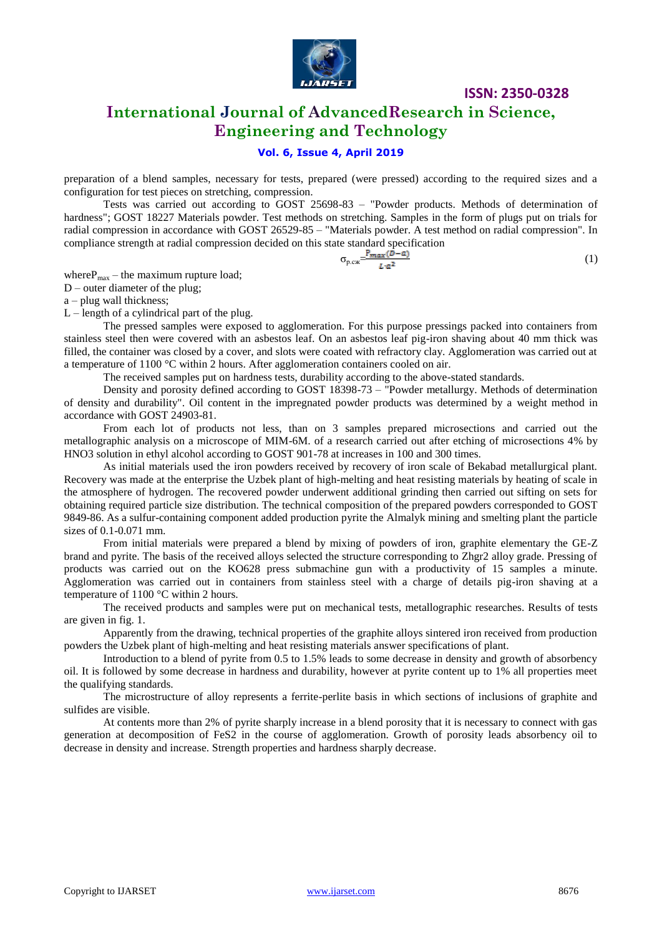

**ISSN: 2350-0328**

## **International Journal of AdvancedResearch in Science, Engineering and Technology**

#### **Vol. 6, Issue 4, April 2019**

preparation of a blend samples, necessary for tests, prepared (were pressed) according to the required sizes and a configuration for test pieces on stretching, compression.

Tests was carried out according to GOST 25698-83 – "Powder products. Methods of determination of hardness"; GOST 18227 Materials powder. Test methods on stretching. Samples in the form of plugs put on trials for radial compression in accordance with GOST 26529-85 – "Materials powder. A test method on radial compression". In compliance strength at radial compression decided on this state standard specification

$$
\sigma_{p,cx} = \frac{P_{max}(D-a)}{L \cdot a^2} \tag{1}
$$

where $P_{\text{max}}$  – the maximum rupture load;

D – outer diameter of the plug;

a – plug wall thickness;

 $L$  – length of a cylindrical part of the plug.

The pressed samples were exposed to agglomeration. For this purpose pressings packed into containers from stainless steel then were covered with an asbestos leaf. On an asbestos leaf pig-iron shaving about 40 mm thick was filled, the container was closed by a cover, and slots were coated with refractory clay. Agglomeration was carried out at a temperature of 1100  $\degree$ C within 2 hours. After agglomeration containers cooled on air.

The received samples put on hardness tests, durability according to the above-stated standards.

Density and porosity defined according to GOST 18398-73 – "Powder metallurgy. Methods of determination of density and durability". Oil content in the impregnated powder products was determined by a weight method in accordance with GOST 24903-81.

From each lot of products not less, than on 3 samples prepared microsections and carried out the metallographic analysis on a microscope of MIM-6M. of a research carried out after etching of microsections 4% by HNO3 solution in ethyl alcohol according to GOST 901-78 at increases in 100 and 300 times.

As initial materials used the iron powders received by recovery of iron scale of Bekabad metallurgical plant. Recovery was made at the enterprise the Uzbek plant of high-melting and heat resisting materials by heating of scale in the atmosphere of hydrogen. The recovered powder underwent additional grinding then carried out sifting on sets for obtaining required particle size distribution. The technical composition of the prepared powders corresponded to GOST 9849-86. As a sulfur-containing component added production pyrite the Almalyk mining and smelting plant the particle sizes of 0.1-0.071 mm.

From initial materials were prepared a blend by mixing of powders of iron, graphite elementary the GE-Z brand and pyrite. The basis of the received alloys selected the structure corresponding to Zhgr2 alloy grade. Pressing of products was carried out on the KO628 press submachine gun with a productivity of 15 samples a minute. Agglomeration was carried out in containers from stainless steel with a charge of details pig-iron shaving at a temperature of 1100 °C within 2 hours.

The received products and samples were put on mechanical tests, metallographic researches. Results of tests are given in fig. 1.

Apparently from the drawing, technical properties of the graphite alloys sintered iron received from production powders the Uzbek plant of high-melting and heat resisting materials answer specifications of plant.

Introduction to a blend of pyrite from 0.5 to 1.5% leads to some decrease in density and growth of absorbency oil. It is followed by some decrease in hardness and durability, however at pyrite content up to 1% all properties meet the qualifying standards.

The microstructure of alloy represents a ferrite-perlite basis in which sections of inclusions of graphite and sulfides are visible.

At contents more than 2% of pyrite sharply increase in a blend porosity that it is necessary to connect with gas generation at decomposition of FeS2 in the course of agglomeration. Growth of porosity leads absorbency oil to decrease in density and increase. Strength properties and hardness sharply decrease.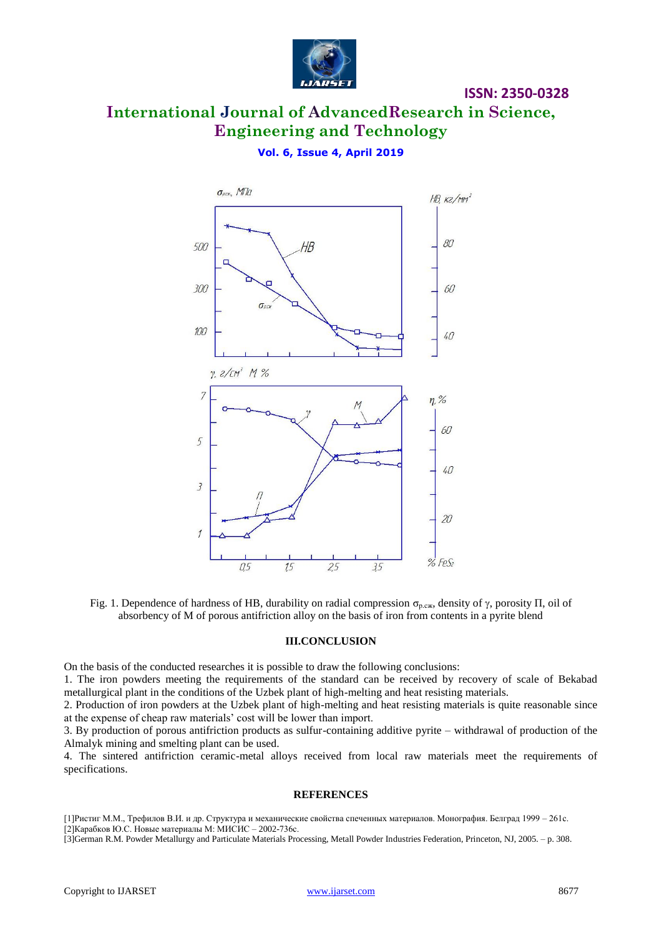

#### **ISSN: 2350-0328**

## **International Journal of AdvancedResearch in Science, Engineering and Technology**

#### **Vol. 6, Issue 4, April 2019**



Fig. 1. Dependence of hardness of HB, durability on radial compression  $\sigma_{p,c}$ , density of  $\gamma$ , porosity  $\Pi$ , oil of absorbency of M of porous antifriction alloy on the basis of iron from contents in a pyrite blend

#### **III.CONCLUSION**

On the basis of the conducted researches it is possible to draw the following conclusions:

1. The iron powders meeting the requirements of the standard can be received by recovery of scale of Bekabad metallurgical plant in the conditions of the Uzbek plant of high-melting and heat resisting materials.

2. Production of iron powders at the Uzbek plant of high-melting and heat resisting materials is quite reasonable since at the expense of cheap raw materials' cost will be lower than import.

3. By production of porous antifriction products as sulfur-containing additive pyrite – withdrawal of production of the Almalyk mining and smelting plant can be used.

4. The sintered antifriction ceramic-metal alloys received from local raw materials meet the requirements of specifications.

#### **REFERENCES**

[1]Ристиг М.М., Трефилов В.И. и др. Структура и механические свойства спеченных материалов. Монография. Белград 1999 – 261с. [2]Карабков Ю.С. Новые материалы М: МИСИС – 2002-736с.

[3]German R.M. Powder Metallurgy and Particulate Materials Processing, Metall Powder Industries Federation, Princeton, NJ, 2005. – p. 308.